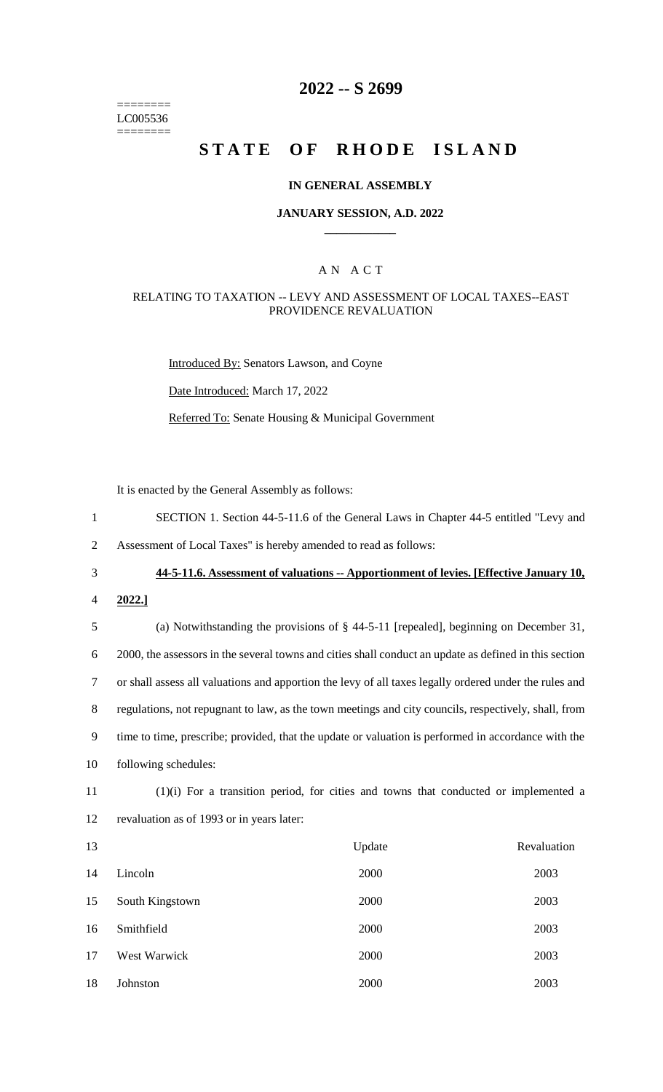======== LC005536 ========

# **2022 -- S 2699**

# **STATE OF RHODE ISLAND**

### **IN GENERAL ASSEMBLY**

### **JANUARY SESSION, A.D. 2022 \_\_\_\_\_\_\_\_\_\_\_\_**

### A N A C T

### RELATING TO TAXATION -- LEVY AND ASSESSMENT OF LOCAL TAXES--EAST PROVIDENCE REVALUATION

Introduced By: Senators Lawson, and Coyne

Date Introduced: March 17, 2022

Referred To: Senate Housing & Municipal Government

It is enacted by the General Assembly as follows:

1 SECTION 1. Section 44-5-11.6 of the General Laws in Chapter 44-5 entitled "Levy and

2 Assessment of Local Taxes" is hereby amended to read as follows:

3 **44-5-11.6. Assessment of valuations -- Apportionment of levies. [Effective January 10,** 

4 **2022.]**

 (a) Notwithstanding the provisions of § 44-5-11 [repealed], beginning on December 31, 2000, the assessors in the several towns and cities shall conduct an update as defined in this section or shall assess all valuations and apportion the levy of all taxes legally ordered under the rules and regulations, not repugnant to law, as the town meetings and city councils, respectively, shall, from time to time, prescribe; provided, that the update or valuation is performed in accordance with the following schedules:

11 (1)(i) For a transition period, for cities and towns that conducted or implemented a 12 revaluation as of 1993 or in years later:

| 13 |                 | Update | Revaluation |
|----|-----------------|--------|-------------|
| 14 | Lincoln         | 2000   | 2003        |
| 15 | South Kingstown | 2000   | 2003        |
| 16 | Smithfield      | 2000   | 2003        |
| 17 | West Warwick    | 2000   | 2003        |
| 18 | Johnston        | 2000   | 2003        |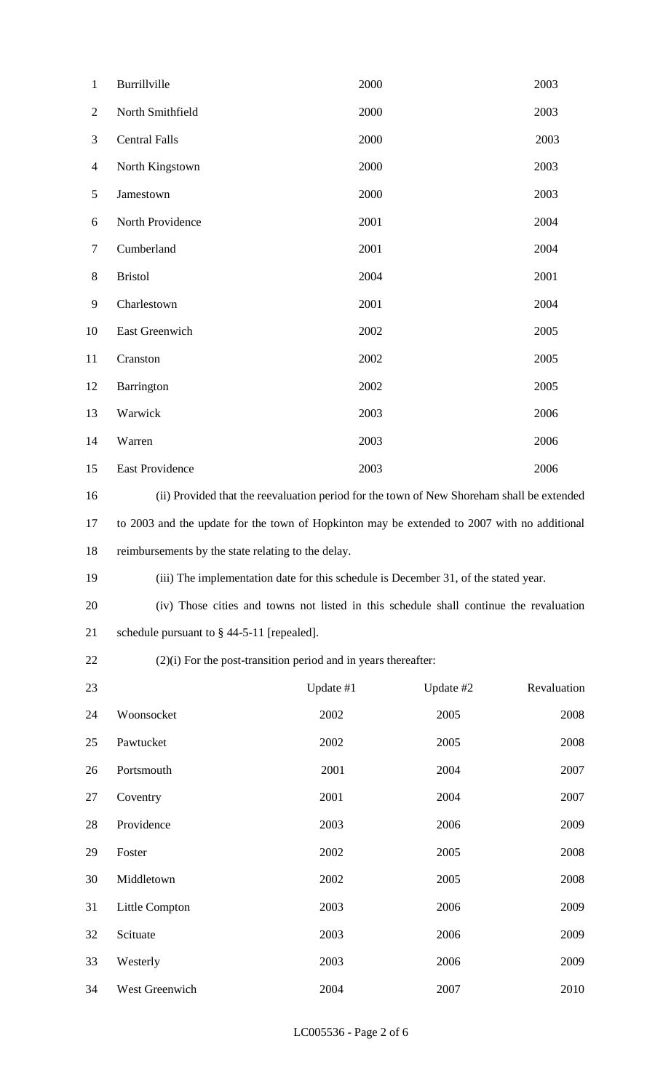| $\mathbf{1}$   | Burrillville                                                                                | 2000      |           | 2003        |  |
|----------------|---------------------------------------------------------------------------------------------|-----------|-----------|-------------|--|
| $\overline{2}$ | North Smithfield                                                                            | 2000      |           | 2003        |  |
| 3              | <b>Central Falls</b>                                                                        | 2000      |           | 2003        |  |
| $\overline{4}$ | North Kingstown                                                                             | 2000      |           | 2003        |  |
| 5              | Jamestown                                                                                   | 2000      |           | 2003        |  |
| 6              | North Providence                                                                            | 2001      |           | 2004        |  |
| $\overline{7}$ | Cumberland                                                                                  | 2001      |           | 2004        |  |
| 8              | <b>Bristol</b>                                                                              | 2004      |           | 2001        |  |
| 9              | Charlestown                                                                                 | 2001      |           | 2004        |  |
| 10             | East Greenwich                                                                              | 2002      |           | 2005        |  |
| 11             | Cranston                                                                                    | 2002      |           | 2005        |  |
| 12             | Barrington                                                                                  | 2002      |           | 2005        |  |
| 13             | Warwick                                                                                     | 2003      |           | 2006        |  |
| 14             | Warren                                                                                      | 2003      |           | 2006        |  |
| 15             | East Providence                                                                             | 2003      |           | 2006        |  |
| 16             | (ii) Provided that the reevaluation period for the town of New Shoreham shall be extended   |           |           |             |  |
| 17             | to 2003 and the update for the town of Hopkinton may be extended to 2007 with no additional |           |           |             |  |
| 18             | reimbursements by the state relating to the delay.                                          |           |           |             |  |
| 19             | (iii) The implementation date for this schedule is December 31, of the stated year.         |           |           |             |  |
| 20             | (iv) Those cities and towns not listed in this schedule shall continue the revaluation      |           |           |             |  |
| 21             | schedule pursuant to $\S$ 44-5-11 [repealed].                                               |           |           |             |  |
| 22             | $(2)(i)$ For the post-transition period and in years thereafter:                            |           |           |             |  |
| 23             |                                                                                             | Update #1 | Update #2 | Revaluation |  |
| 24             | Woonsocket                                                                                  | 2002      | 2005      | 2008        |  |
| 25             | Pawtucket                                                                                   | 2002      | 2005      | 2008        |  |
| 26             | Portsmouth                                                                                  | 2001      | 2004      | 2007        |  |
| 27             | Coventry                                                                                    | 2001      | 2004      | 2007        |  |
| 28             | Providence                                                                                  | 2003      | 2006      | 2009        |  |
| 29             | Foster                                                                                      | 2002      | 2005      | 2008        |  |
| 30             | Middletown                                                                                  | 2002      | 2005      | 2008        |  |
| 31             | Little Compton                                                                              | 2003      | 2006      | 2009        |  |
| 32             | Scituate                                                                                    | 2003      | 2006      | 2009        |  |
| 33             | Westerly                                                                                    | 2003      | 2006      | 2009        |  |
| 34             | West Greenwich                                                                              | 2004      | 2007      | 2010        |  |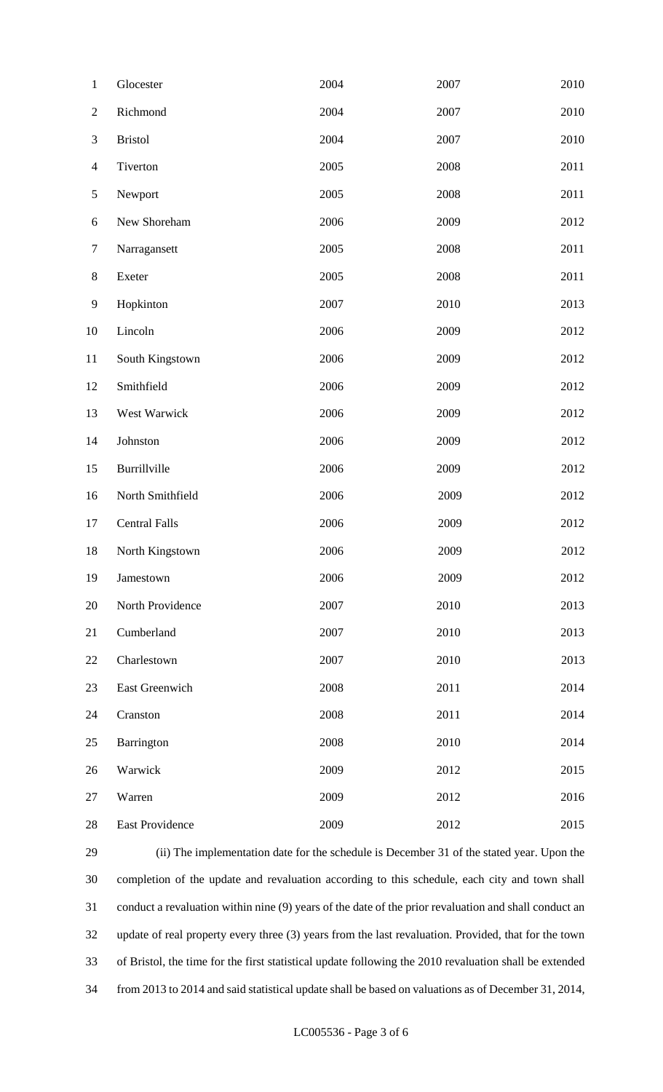| $\mathbf{1}$   | Glocester            | 2004 | 2007 | 2010 |
|----------------|----------------------|------|------|------|
| $\mathbf{2}$   | Richmond             | 2004 | 2007 | 2010 |
| $\mathfrak{Z}$ | <b>Bristol</b>       | 2004 | 2007 | 2010 |
| $\overline{4}$ | Tiverton             | 2005 | 2008 | 2011 |
| $\mathfrak{S}$ | Newport              | 2005 | 2008 | 2011 |
| 6              | New Shoreham         | 2006 | 2009 | 2012 |
| $\tau$         | Narragansett         | 2005 | 2008 | 2011 |
| $8\,$          | Exeter               | 2005 | 2008 | 2011 |
| $\mathbf{9}$   | Hopkinton            | 2007 | 2010 | 2013 |
| 10             | Lincoln              | 2006 | 2009 | 2012 |
| 11             | South Kingstown      | 2006 | 2009 | 2012 |
| 12             | Smithfield           | 2006 | 2009 | 2012 |
| 13             | West Warwick         | 2006 | 2009 | 2012 |
| 14             | Johnston             | 2006 | 2009 | 2012 |
| 15             | Burrillville         | 2006 | 2009 | 2012 |
| 16             | North Smithfield     | 2006 | 2009 | 2012 |
| 17             | <b>Central Falls</b> | 2006 | 2009 | 2012 |
| 18             | North Kingstown      | 2006 | 2009 | 2012 |
| 19             | Jamestown            | 2006 | 2009 | 2012 |
| 20             | North Providence     | 2007 | 2010 | 2013 |
| 21             | Cumberland           | 2007 | 2010 | 2013 |
| 22             | Charlestown          | 2007 | 2010 | 2013 |
| 23             | East Greenwich       | 2008 | 2011 | 2014 |
| 24             | Cranston             | 2008 | 2011 | 2014 |
| 25             | Barrington           | 2008 | 2010 | 2014 |
| 26             | Warwick              | 2009 | 2012 | 2015 |
| 27             | Warren               | 2009 | 2012 | 2016 |
| 28             | East Providence      | 2009 | 2012 | 2015 |

 (ii) The implementation date for the schedule is December 31 of the stated year. Upon the completion of the update and revaluation according to this schedule, each city and town shall conduct a revaluation within nine (9) years of the date of the prior revaluation and shall conduct an update of real property every three (3) years from the last revaluation. Provided, that for the town of Bristol, the time for the first statistical update following the 2010 revaluation shall be extended from 2013 to 2014 and said statistical update shall be based on valuations as of December 31, 2014,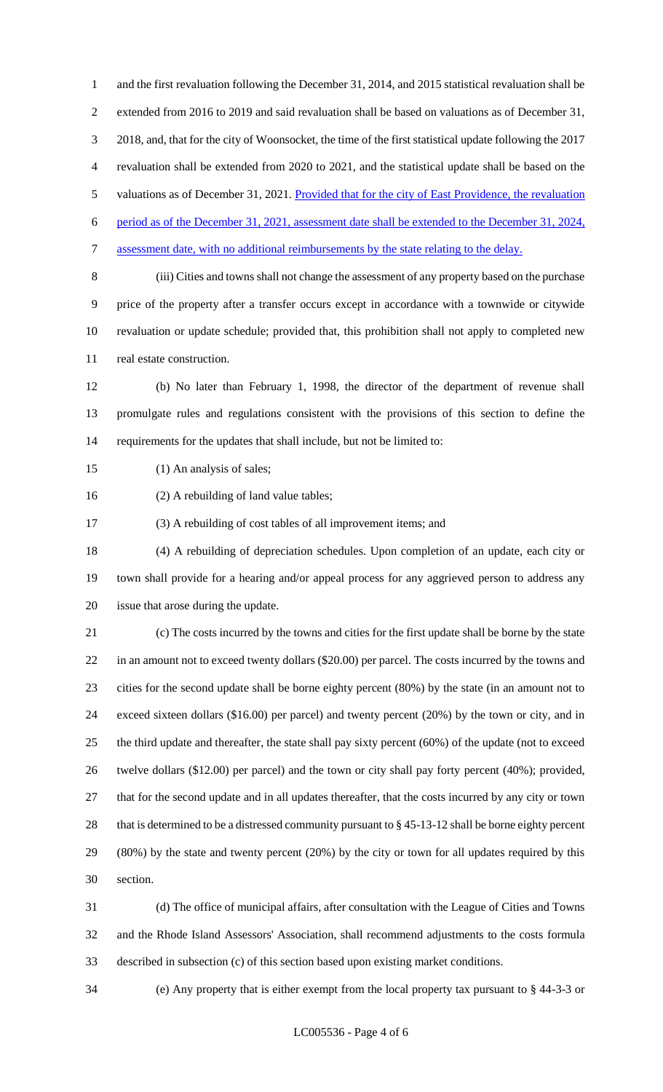and the first revaluation following the December 31, 2014, and 2015 statistical revaluation shall be extended from 2016 to 2019 and said revaluation shall be based on valuations as of December 31, 2018, and, that for the city of Woonsocket, the time of the first statistical update following the 2017 revaluation shall be extended from 2020 to 2021, and the statistical update shall be based on the 5 valuations as of December 31, 2021. Provided that for the city of East Providence, the revaluation period as of the December 31, 2021, assessment date shall be extended to the December 31, 2024, assessment date, with no additional reimbursements by the state relating to the delay. (iii) Cities and towns shall not change the assessment of any property based on the purchase price of the property after a transfer occurs except in accordance with a townwide or citywide revaluation or update schedule; provided that, this prohibition shall not apply to completed new real estate construction.

 (b) No later than February 1, 1998, the director of the department of revenue shall promulgate rules and regulations consistent with the provisions of this section to define the requirements for the updates that shall include, but not be limited to:

- 15 (1) An analysis of sales;
- (2) A rebuilding of land value tables;

(3) A rebuilding of cost tables of all improvement items; and

 (4) A rebuilding of depreciation schedules. Upon completion of an update, each city or town shall provide for a hearing and/or appeal process for any aggrieved person to address any issue that arose during the update.

 (c) The costs incurred by the towns and cities for the first update shall be borne by the state in an amount not to exceed twenty dollars (\$20.00) per parcel. The costs incurred by the towns and cities for the second update shall be borne eighty percent (80%) by the state (in an amount not to exceed sixteen dollars (\$16.00) per parcel) and twenty percent (20%) by the town or city, and in the third update and thereafter, the state shall pay sixty percent (60%) of the update (not to exceed twelve dollars (\$12.00) per parcel) and the town or city shall pay forty percent (40%); provided, that for the second update and in all updates thereafter, that the costs incurred by any city or town that is determined to be a distressed community pursuant to § 45-13-12 shall be borne eighty percent (80%) by the state and twenty percent (20%) by the city or town for all updates required by this section.

 (d) The office of municipal affairs, after consultation with the League of Cities and Towns and the Rhode Island Assessors' Association, shall recommend adjustments to the costs formula described in subsection (c) of this section based upon existing market conditions.

(e) Any property that is either exempt from the local property tax pursuant to § 44-3-3 or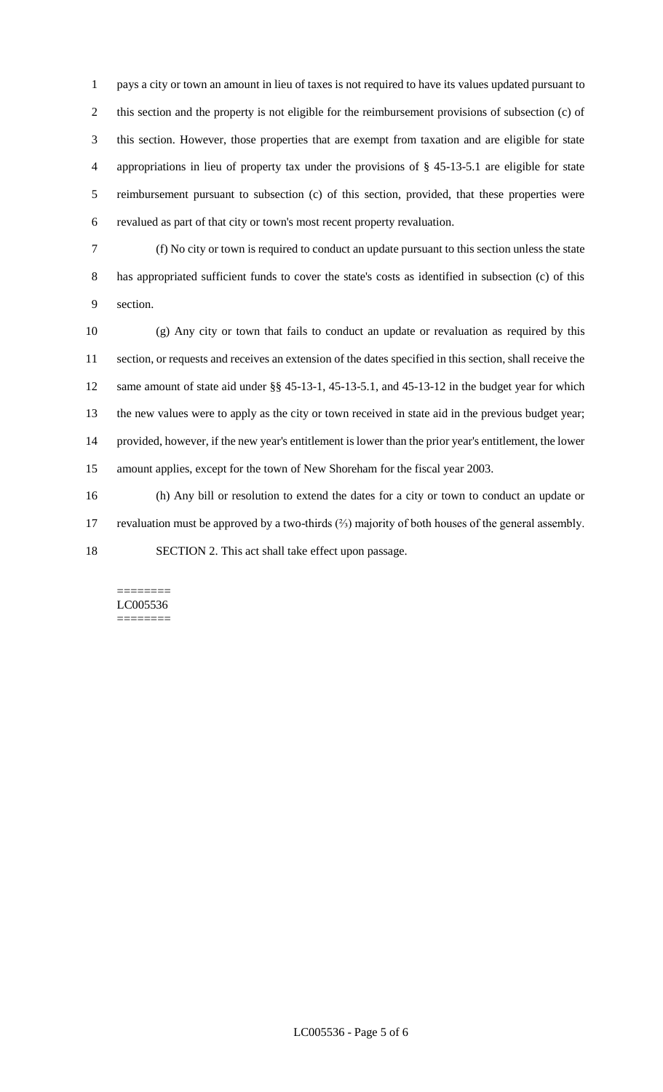pays a city or town an amount in lieu of taxes is not required to have its values updated pursuant to this section and the property is not eligible for the reimbursement provisions of subsection (c) of this section. However, those properties that are exempt from taxation and are eligible for state appropriations in lieu of property tax under the provisions of § 45-13-5.1 are eligible for state reimbursement pursuant to subsection (c) of this section, provided, that these properties were revalued as part of that city or town's most recent property revaluation.

 (f) No city or town is required to conduct an update pursuant to this section unless the state has appropriated sufficient funds to cover the state's costs as identified in subsection (c) of this section.

 (g) Any city or town that fails to conduct an update or revaluation as required by this section, or requests and receives an extension of the dates specified in this section, shall receive the same amount of state aid under §§ 45-13-1, 45-13-5.1, and 45-13-12 in the budget year for which the new values were to apply as the city or town received in state aid in the previous budget year; provided, however, if the new year's entitlement is lower than the prior year's entitlement, the lower amount applies, except for the town of New Shoreham for the fiscal year 2003.

 (h) Any bill or resolution to extend the dates for a city or town to conduct an update or revaluation must be approved by a two-thirds (⅔) majority of both houses of the general assembly. SECTION 2. This act shall take effect upon passage.

#### ======== LC005536 ========